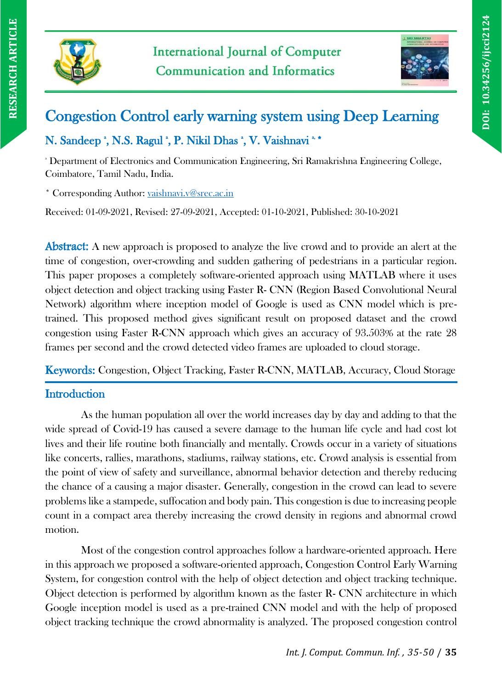



# Congestion Control early warning system using Deep Learning N. Sandeep ', N.S. Ragul ', P. Nikil Dhas ', V. Vaishnavi ' \*\*

<sup>a</sup> Department of Electronics and Communication Engineering, Sri Ramakrishna Engineering College, Coimbatore, Tamil Nadu, India.

\* Corresponding Author: [vaishnavi.v@srec.ac.in](mailto:vaishnavi.v@srec.ac.in)

Received: 01-09-2021, Revised: 27-09-2021, Accepted: 01-10-2021, Published: 30-10-2021

Abstract: A new approach is proposed to analyze the live crowd and to provide an alert at the time of congestion, over-crowding and sudden gathering of pedestrians in a particular region. This paper proposes a completely software-oriented approach using MATLAB where it uses object detection and object tracking using Faster R- CNN (Region Based Convolutional Neural Network) algorithm where inception model of Google is used as CNN model which is pretrained. This proposed method gives significant result on proposed dataset and the crowd congestion using Faster R-CNN approach which gives an accuracy of 93.503% at the rate 28 frames per second and the crowd detected video frames are uploaded to cloud storage.

Keywords: Congestion, Object Tracking, Faster R-CNN, MATLAB, Accuracy, Cloud Storage

# **Introduction**

As the human population all over the world increases day by day and adding to that the wide spread of Covid-19 has caused a severe damage to the human life cycle and had cost lot lives and their life routine both financially and mentally. Crowds occur in a variety of situations like concerts, rallies, marathons, stadiums, railway stations, etc. Crowd analysis is essential from the point of view of safety and surveillance, abnormal behavior detection and thereby reducing the chance of a causing a major disaster. Generally, congestion in the crowd can lead to severe problems like a stampede, suffocation and body pain. This congestion is due to increasing people count in a compact area thereby increasing the crowd density in regions and abnormal crowd motion.

Most of the congestion control approaches follow a hardware-oriented approach. Here in this approach we proposed a software-oriented approach, Congestion Control Early Warning System, for congestion control with the help of object detection and object tracking technique. Object detection is performed by algorithm known as the faster R- CNN architecture in which Google inception model is used as a pre-trained CNN model and with the help of proposed object tracking technique the crowd abnormality is analyzed. The proposed congestion control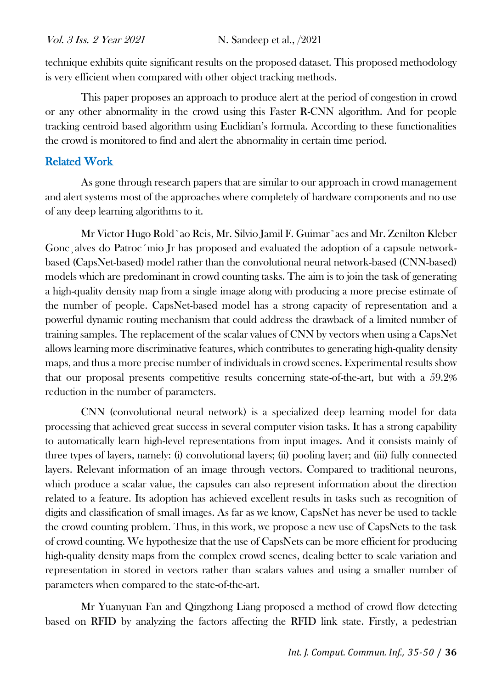technique exhibits quite significant results on the proposed dataset. This proposed methodology is very efficient when compared with other object tracking methods.

This paper proposes an approach to produce alert at the period of congestion in crowd or any other abnormality in the crowd using this Faster R-CNN algorithm. And for people tracking centroid based algorithm using Euclidian's formula. According to these functionalities the crowd is monitored to find and alert the abnormality in certain time period.

### Related Work

As gone through research papers that are similar to our approach in crowd management and alert systems most of the approaches where completely of hardware components and no use of any deep learning algorithms to it.

Mr Victor Hugo Rold˜ao Reis, Mr. Silvio Jamil F. Guimar˜aes and Mr. Zenilton Kleber Gonc alves do Patroc<sup> $\dot{\ }$ </sup> inio Jr has proposed and evaluated the adoption of a capsule networkbased (CapsNet-based) model rather than the convolutional neural network-based (CNN-based) models which are predominant in crowd counting tasks. The aim is to join the task of generating a high-quality density map from a single image along with producing a more precise estimate of the number of people. CapsNet-based model has a strong capacity of representation and a powerful dynamic routing mechanism that could address the drawback of a limited number of training samples. The replacement of the scalar values of CNN by vectors when using a CapsNet allows learning more discriminative features, which contributes to generating high-quality density maps, and thus a more precise number of individuals in crowd scenes. Experimental results show that our proposal presents competitive results concerning state-of-the-art, but with a 59.2% reduction in the number of parameters.

CNN (convolutional neural network) is a specialized deep learning model for data processing that achieved great success in several computer vision tasks. It has a strong capability to automatically learn high-level representations from input images. And it consists mainly of three types of layers, namely: (i) convolutional layers; (ii) pooling layer; and (iii) fully connected layers. Relevant information of an image through vectors. Compared to traditional neurons, which produce a scalar value, the capsules can also represent information about the direction related to a feature. Its adoption has achieved excellent results in tasks such as recognition of digits and classification of small images. As far as we know, CapsNet has never be used to tackle the crowd counting problem. Thus, in this work, we propose a new use of CapsNets to the task of crowd counting. We hypothesize that the use of CapsNets can be more efficient for producing high-quality density maps from the complex crowd scenes, dealing better to scale variation and representation in stored in vectors rather than scalars values and using a smaller number of parameters when compared to the state-of-the-art.

Mr Yuanyuan Fan and Qingzhong Liang proposed a method of crowd flow detecting based on RFID by analyzing the factors affecting the RFID link state. Firstly, a pedestrian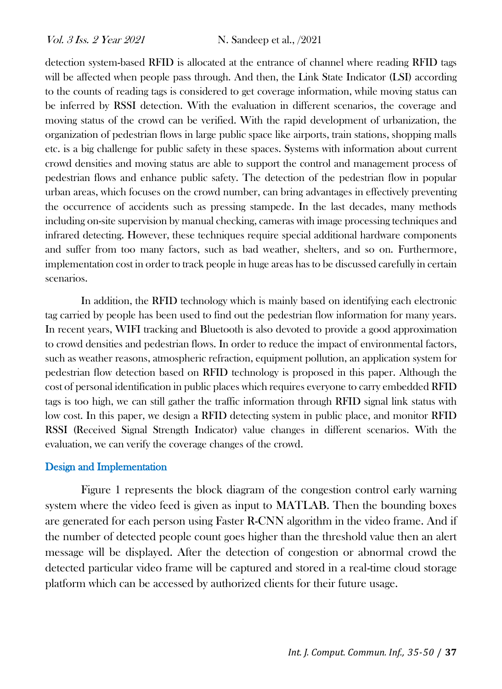detection system-based RFID is allocated at the entrance of channel where reading RFID tags will be affected when people pass through. And then, the Link State Indicator (LSI) according to the counts of reading tags is considered to get coverage information, while moving status can be inferred by RSSI detection. With the evaluation in different scenarios, the coverage and moving status of the crowd can be verified. With the rapid development of urbanization, the organization of pedestrian flows in large public space like airports, train stations, shopping malls etc. is a big challenge for public safety in these spaces. Systems with information about current crowd densities and moving status are able to support the control and management process of pedestrian flows and enhance public safety. The detection of the pedestrian flow in popular urban areas, which focuses on the crowd number, can bring advantages in effectively preventing the occurrence of accidents such as pressing stampede. In the last decades, many methods including on-site supervision by manual checking, cameras with image processing techniques and infrared detecting. However, these techniques require special additional hardware components and suffer from too many factors, such as bad weather, shelters, and so on. Furthermore, implementation cost in order to track people in huge areas has to be discussed carefully in certain scenarios.

In addition, the RFID technology which is mainly based on identifying each electronic tag carried by people has been used to find out the pedestrian flow information for many years. In recent years, WIFI tracking and Bluetooth is also devoted to provide a good approximation to crowd densities and pedestrian flows. In order to reduce the impact of environmental factors, such as weather reasons, atmospheric refraction, equipment pollution, an application system for pedestrian flow detection based on RFID technology is proposed in this paper. Although the cost of personal identification in public places which requires everyone to carry embedded RFID tags is too high, we can still gather the traffic information through RFID signal link status with low cost. In this paper, we design a RFID detecting system in public place, and monitor RFID RSSI (Received Signal Strength Indicator) value changes in different scenarios. With the evaluation, we can verify the coverage changes of the crowd.

### Design and Implementation

Figure 1 represents the block diagram of the congestion control early warning system where the video feed is given as input to MATLAB. Then the bounding boxes are generated for each person using Faster R-CNN algorithm in the video frame. And if the number of detected people count goes higher than the threshold value then an alert message will be displayed. After the detection of congestion or abnormal crowd the detected particular video frame will be captured and stored in a real-time cloud storage platform which can be accessed by authorized clients for their future usage.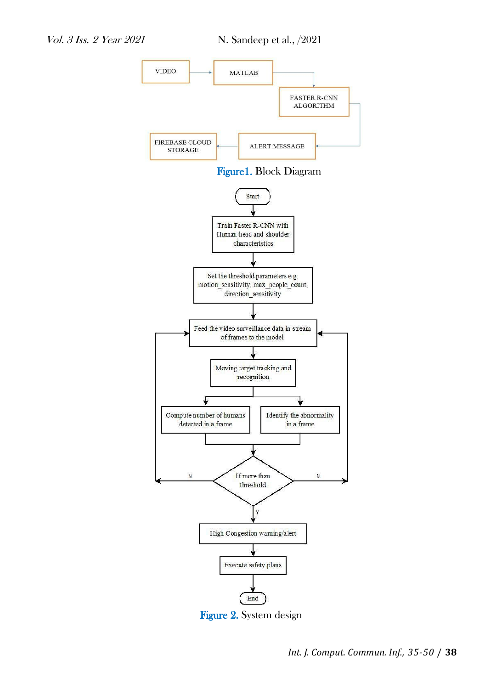



*Int. J. Comput. Commun. Inf., 35-50* / **38**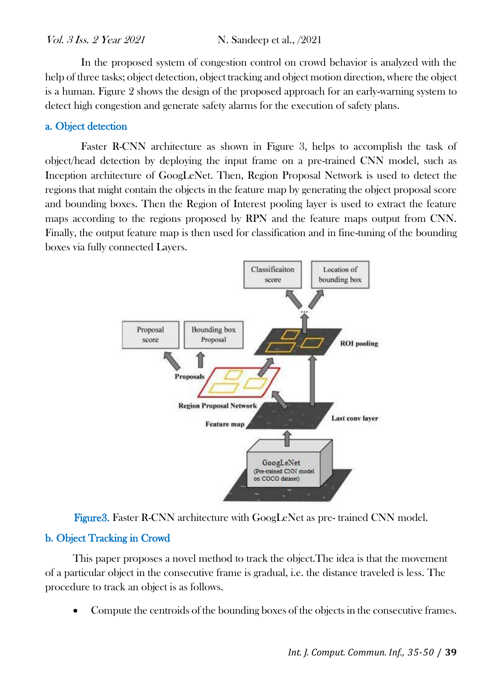In the proposed system of congestion control on crowd behavior is analyzed with the help of three tasks; object detection, object tracking and object motion direction, where the object is a human. Figure 2 shows the design of the proposed approach for an early-warning system to detect high congestion and generate safety alarms for the execution of safety plans.

### a. Object detection

Faster R-CNN architecture as shown in Figure 3, helps to accomplish the task of object/head detection by deploying the input frame on a pre-trained CNN model, such as Inception architecture of GoogLeNet. Then, Region Proposal Network is used to detect the regions that might contain the objects in the feature map by generating the object proposal score and bounding boxes. Then the Region of Interest pooling layer is used to extract the feature maps according to the regions proposed by RPN and the feature maps output from CNN. Finally, the output feature map is then used for classification and in fine-tuning of the bounding boxes via fully connected Layers.



Figure3. Faster R-CNN architecture with GoogLeNet as pre- trained CNN model.

### b. Object Tracking in Crowd

This paper proposes a novel method to track the object.The idea is that the movement of a particular object in the consecutive frame is gradual, i.e. the distance traveled is less. The procedure to track an object is as follows.

• Compute the centroids of the bounding boxes of the objects in the consecutive frames.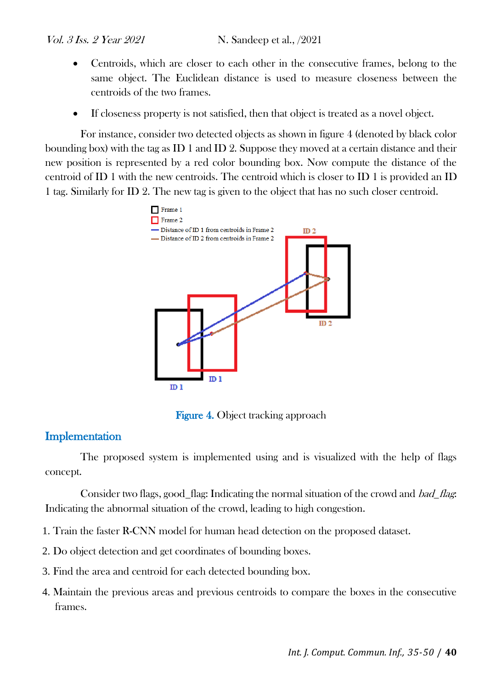- Centroids, which are closer to each other in the consecutive frames, belong to the same object. The Euclidean distance is used to measure closeness between the centroids of the two frames.
- If closeness property is not satisfied, then that object is treated as a novel object.

For instance, consider two detected objects as shown in figure 4 (denoted by black color bounding box) with the tag as ID 1 and ID 2. Suppose they moved at a certain distance and their new position is represented by a red color bounding box. Now compute the distance of the centroid of ID 1 with the new centroids. The centroid which is closer to ID 1 is provided an ID 1 tag. Similarly for ID 2. The new tag is given to the object that has no such closer centroid.



Figure 4. Object tracking approach

### Implementation

The proposed system is implemented using and is visualized with the help of flags concept.

Consider two flags, good flag: Indicating the normal situation of the crowd and *bad flag*: Indicating the abnormal situation of the crowd, leading to high congestion.

- 1. Train the faster R-CNN model for human head detection on the proposed dataset.
- 2. Do object detection and get coordinates of bounding boxes.
- 3. Find the area and centroid for each detected bounding box.
- 4. Maintain the previous areas and previous centroids to compare the boxes in the consecutive frames.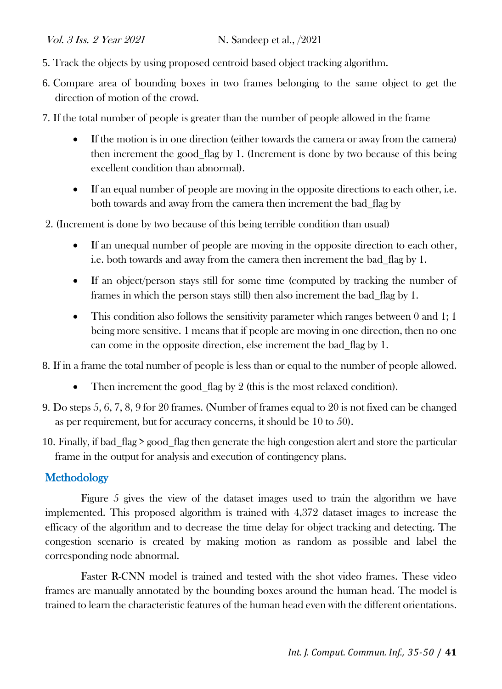- 5. Track the objects by using proposed centroid based object tracking algorithm.
- 6. Compare area of bounding boxes in two frames belonging to the same object to get the direction of motion of the crowd.
- 7. If the total number of people is greater than the number of people allowed in the frame
	- If the motion is in one direction (either towards the camera or away from the camera) then increment the good\_flag by 1. (Increment is done by two because of this being excellent condition than abnormal).
	- If an equal number of people are moving in the opposite directions to each other, i.e. both towards and away from the camera then increment the bad\_flag by
- 2. (Increment is done by two because of this being terrible condition than usual)
	- If an unequal number of people are moving in the opposite direction to each other, i.e. both towards and away from the camera then increment the bad\_flag by 1.
	- If an object/person stays still for some time (computed by tracking the number of frames in which the person stays still) then also increment the bad\_flag by 1.
	- This condition also follows the sensitivity parameter which ranges between  $\theta$  and  $\ddagger$ ; 1 being more sensitive. 1 means that if people are moving in one direction, then no one can come in the opposite direction, else increment the bad\_flag by 1.
- 8. If in a frame the total number of people is less than or equal to the number of people allowed.
	- Then increment the good flag by 2 (this is the most relaxed condition).
- 9. Do steps 5, 6, 7, 8, 9 for 20 frames. (Number of frames equal to 20 is not fixed can be changed as per requirement, but for accuracy concerns, it should be 10 to 50).
- 10. Finally, if bad\_flag > good\_flag then generate the high congestion alert and store the particular frame in the output for analysis and execution of contingency plans.

### **Methodology**

Figure 5 gives the view of the dataset images used to train the algorithm we have implemented. This proposed algorithm is trained with 4,372 dataset images to increase the efficacy of the algorithm and to decrease the time delay for object tracking and detecting. The congestion scenario is created by making motion as random as possible and label the corresponding node abnormal.

Faster R-CNN model is trained and tested with the shot video frames. These video frames are manually annotated by the bounding boxes around the human head. The model is trained to learn the characteristic features of the human head even with the different orientations.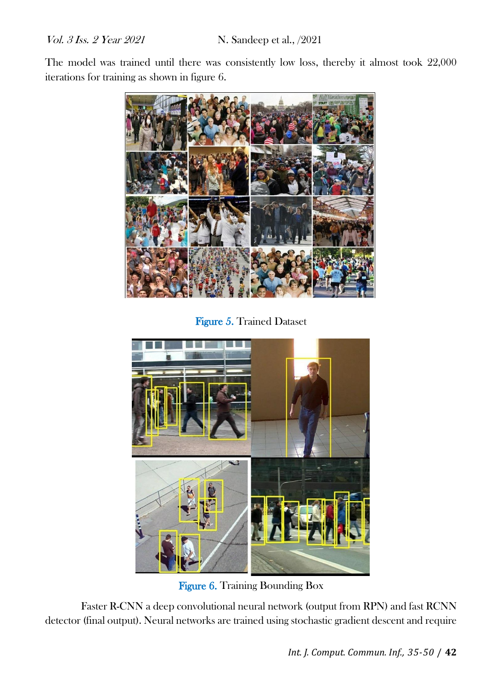The model was trained until there was consistently low loss, thereby it almost took 22,000 iterations for training as shown in figure 6.



Figure 5. Trained Dataset



Figure 6. Training Bounding Box

Faster R-CNN a deep convolutional neural network (output from RPN) and fast RCNN detector (final output). Neural networks are trained using stochastic gradient descent and require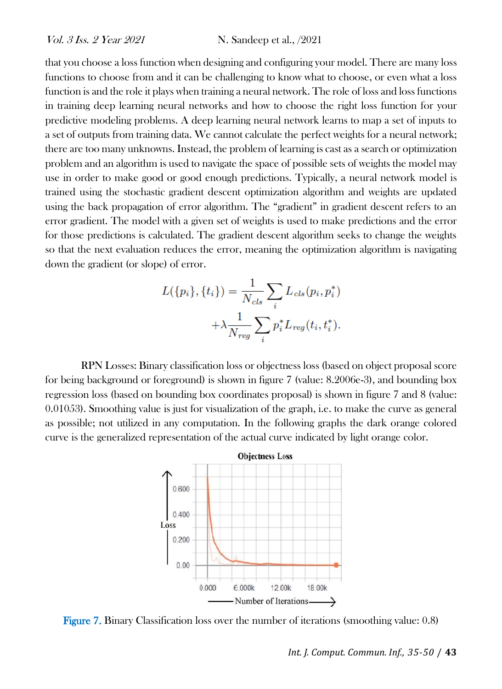that you choose a loss function when designing and configuring your model. There are many loss functions to choose from and it can be challenging to know what to choose, or even what a loss function is and the role it plays when training a neural network. The role of loss and loss functions in training deep learning neural networks and how to choose the right loss function for your predictive modeling problems. A deep learning neural network learns to map a set of inputs to a set of outputs from training data. We cannot calculate the perfect weights for a neural network; there are too many unknowns. Instead, the problem of learning is cast as a search or optimization problem and an algorithm is used to navigate the space of possible sets of weights the model may use in order to make good or good enough predictions. Typically, a neural network model is trained using the stochastic gradient descent optimization algorithm and weights are updated using the back propagation of error algorithm. The "gradient" in gradient descent refers to an error gradient. The model with a given set of weights is used to make predictions and the error for those predictions is calculated. The gradient descent algorithm seeks to change the weights so that the next evaluation reduces the error, meaning the optimization algorithm is navigating down the gradient (or slope) of error.

$$
L({p_i}, {t_i}) = \frac{1}{N_{cls}} \sum_{i} L_{cls}(p_i, p_i^*)
$$

$$
+ \lambda \frac{1}{N_{reg}} \sum_{i} p_i^* L_{reg}(t_i, t_i^*).
$$

RPN Losses: Binary classification loss or objectness loss (based on object proposal score for being background or foreground) is shown in figure 7 (value: 8.2006e-3), and bounding box regression loss (based on bounding box coordinates proposal) is shown in figure 7 and 8 (value: 0.01053). Smoothing value is just for visualization of the graph, i.e. to make the curve as general as possible; not utilized in any computation. In the following graphs the dark orange colored curve is the generalized representation of the actual curve indicated by light orange color.



Figure 7. Binary Classification loss over the number of iterations (smoothing value: 0.8)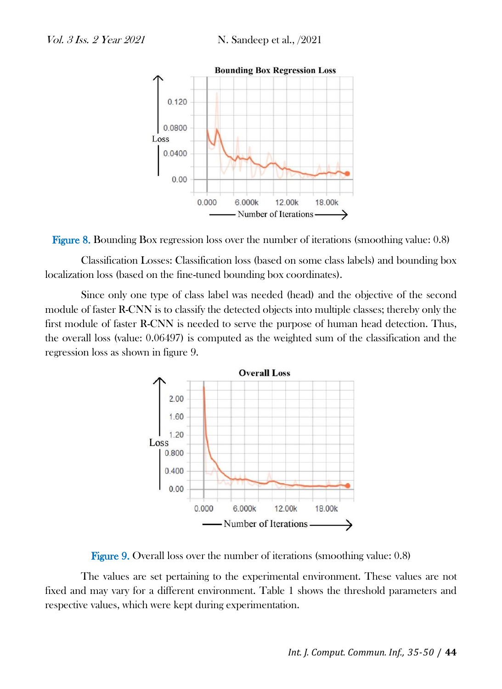

Figure 8. Bounding Box regression loss over the number of iterations (smoothing value: 0.8)

Classification Losses: Classification loss (based on some class labels) and bounding box localization loss (based on the fine-tuned bounding box coordinates).

Since only one type of class label was needed (head) and the objective of the second module of faster R-CNN is to classify the detected objects into multiple classes; thereby only the first module of faster R-CNN is needed to serve the purpose of human head detection. Thus, the overall loss (value: 0.06497) is computed as the weighted sum of the classification and the regression loss as shown in figure 9.



Figure 9. Overall loss over the number of iterations (smoothing value: 0.8)

The values are set pertaining to the experimental environment. These values are not fixed and may vary for a different environment. Table 1 shows the threshold parameters and respective values, which were kept during experimentation.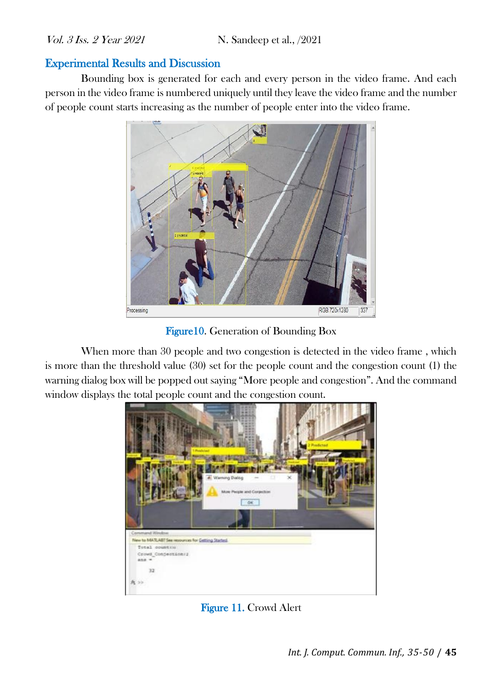### Experimental Results and Discussion

Bounding box is generated for each and every person in the video frame. And each person in the video frame is numbered uniquely until they leave the video frame and the number of people count starts increasing as the number of people enter into the video frame.



Figure10. Generation of Bounding Box

When more than 30 people and two congestion is detected in the video frame, which is more than the threshold value (30) set for the people count and the congestion count (1) the warning dialog box will be popped out saying "More people and congestion". And the command window displays the total people count and the congestion count.



Figure 11. Crowd Alert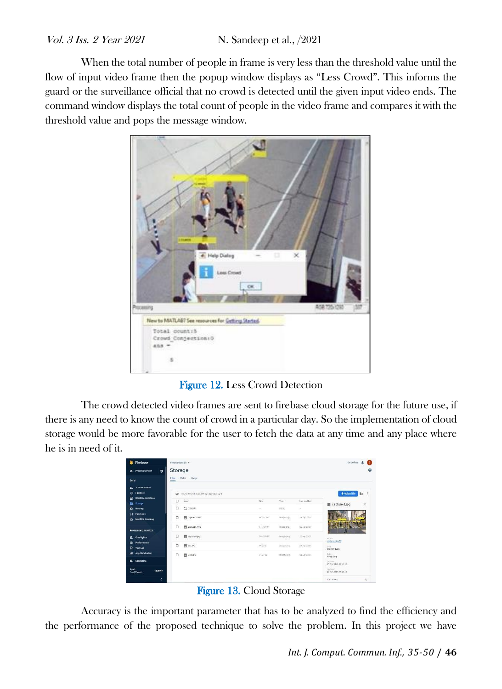When the total number of people in frame is very less than the threshold value until the flow of input video frame then the popup window displays as "Less Crowd". This informs the guard or the surveillance official that no crowd is detected until the given input video ends. The command window displays the total count of people in the video frame and compares it with the threshold value and pops the message window.



Figure 12. Less Crowd Detection

The crowd detected video frames are sent to firebase cloud storage for the future use, if there is any need to know the count of crowd in a particular day. So the implementation of cloud storage would be more favorable for the user to fetch the data at any time and any place where he is in need of it.

| Firebase<br>≃                                  | Crowd detection -                        |                       |                     |                               | Solutions &                                 | G                                         |
|------------------------------------------------|------------------------------------------|-----------------------|---------------------|-------------------------------|---------------------------------------------|-------------------------------------------|
| ۰<br><b>Project Overview</b>                   | Storage                                  |                       |                     |                               |                                             | $\Omega$                                  |
| Build                                          | <b>Bales</b><br>Files.<br>Usepe          |                       |                     |                               |                                             |                                           |
| Authentication<br>盐<br>宕<br>Firestore          | 00 outrosaut-betechnike/0325 approximate |                       |                     |                               | the Upload file                             | m<br>$\ddot{\ddot{\phantom{}}\phantom{}}$ |
| 0<br>Realtime Database<br><b>Storage</b><br>b  | O<br>tome                                | 220e                  | Tase:               | Lastmodfeel                   | ■ capture 4.jpg                             | $\times$                                  |
| Hostna<br>۰                                    | D<br>D Dotaset                           | $\sim$                | Forcer              | ×                             |                                             |                                           |
| Α<br><b>Functions</b><br>Machine Learning<br>ω | ο<br><b>IN Centre 3780</b><br>w          | HIT in Jan            | leocations          | 25 Apr 2021                   |                                             |                                           |
| Release and monitor                            | D<br>開 Osphure1.PNG                      | 445.43.00             | image-bing          | 25 Apr 2021                   |                                             |                                           |
| CrashWtics<br>a                                | □<br>eptire 4.pg                         | 030.33105             | ImageTpeg<br>-25392 | 25 Apr 2021                   | $204 - \omega$                              |                                           |
| Performance<br>m<br>B<br>TestLab               | O<br>网 det.ard                           | 36,990<br>$-49.25(1)$ | mage(pe)            | 09-00-2003<br>$24$ Apr $2523$ | casture 4.jpg (2)<br>Stir.<br>973.187 bytes |                                           |
| <b>App Distribution</b><br>æ                   | □<br><b>B</b> less_iPO                   | 07.07.18              | Imagelipeg.         | 24 Apr 2021                   | Pipe con<br>inagepig                        |                                           |
| Extensions<br>Ł                                |                                          |                       |                     |                               | Dadiel Services<br>25 Apr 2021, 19:22-01    |                                           |
| Spark<br>Upgrade<br>Free Stymouth              |                                          |                       |                     |                               | problem.<br>25 Apr 2021, 19:23:45           |                                           |
| ×.                                             |                                          |                       |                     |                               | <b>Die Invoktor</b>                         | iG.                                       |

Figure 13. Cloud Storage

Accuracy is the important parameter that has to be analyzed to find the efficiency and the performance of the proposed technique to solve the problem. In this project we have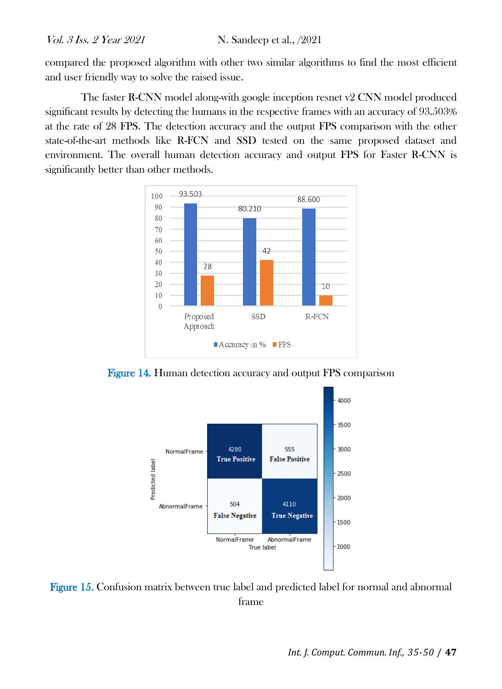compared the proposed algorithm with other two similar algorithms to find the most efficient and user friendly way to solve the raised issue.

The faster R-CNN model along-with google inception resnet v2 CNN model produced significant results by detecting the humans in the respective frames with an accuracy of 93.503% at the rate of 28 FPS. The detection accuracy and the output FPS comparison with the other state-of-the-art methods like R-FCN and SSD tested on the same proposed dataset and environment. The overall human detection accuracy and output FPS for Faster R-CNN is significantly better than other methods.



Figure 14. Human detection accuracy and output FPS comparison



Figure 15. Confusion matrix between true label and predicted label for normal and abnormal frame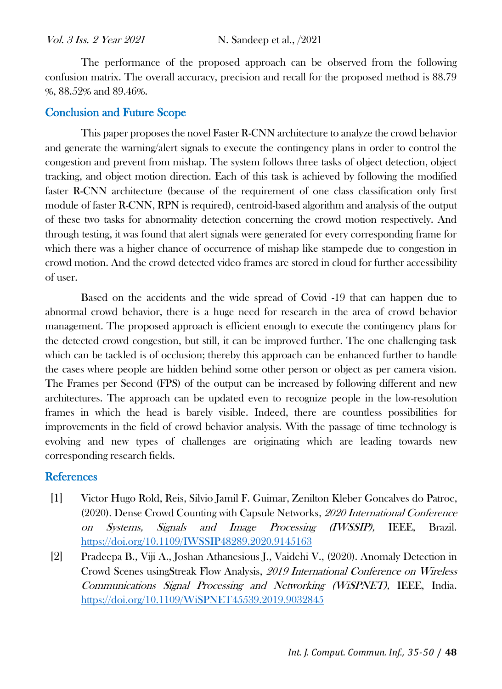The performance of the proposed approach can be observed from the following confusion matrix. The overall accuracy, precision and recall for the proposed method is 88.79 %, 88.52% and 89.46%.

### Conclusion and Future Scope

This paper proposes the novel Faster R-CNN architecture to analyze the crowd behavior and generate the warning/alert signals to execute the contingency plans in order to control the congestion and prevent from mishap. The system follows three tasks of object detection, object tracking, and object motion direction. Each of this task is achieved by following the modified faster R-CNN architecture (because of the requirement of one class classification only first module of faster R-CNN, RPN is required), centroid-based algorithm and analysis of the output of these two tasks for abnormality detection concerning the crowd motion respectively. And through testing, it was found that alert signals were generated for every corresponding frame for which there was a higher chance of occurrence of mishap like stampede due to congestion in crowd motion. And the crowd detected video frames are stored in cloud for further accessibility of user.

Based on the accidents and the wide spread of Covid -19 that can happen due to abnormal crowd behavior, there is a huge need for research in the area of crowd behavior management. The proposed approach is efficient enough to execute the contingency plans for the detected crowd congestion, but still, it can be improved further. The one challenging task which can be tackled is of occlusion; thereby this approach can be enhanced further to handle the cases where people are hidden behind some other person or object as per camera vision. The Frames per Second (FPS) of the output can be increased by following different and new architectures. The approach can be updated even to recognize people in the low-resolution frames in which the head is barely visible. Indeed, there are countless possibilities for improvements in the field of crowd behavior analysis. With the passage of time technology is evolving and new types of challenges are originating which are leading towards new corresponding research fields.

### **References**

- [1] Victor Hugo Rold, Reis, Silvio Jamil F. Guimar, Zenilton Kleber Goncalves do Patroc, (2020). Dense Crowd Counting with Capsule Networks, 2020 International Conference on Systems, Signals and Image Processing (IWSSIP), IEEE, Brazil. <https://doi.org/10.1109/IWSSIP48289.2020.9145163>
- [2] Pradeepa B., Viji A., Joshan Athanesious J., Vaidehi V., (2020). Anomaly Detection in Crowd Scenes usingStreak Flow Analysis, 2019 International Conference on Wireless Communications Signal Processing and Networking (WiSPNET), IEEE, India. <https://doi.org/10.1109/WiSPNET45539.2019.9032845>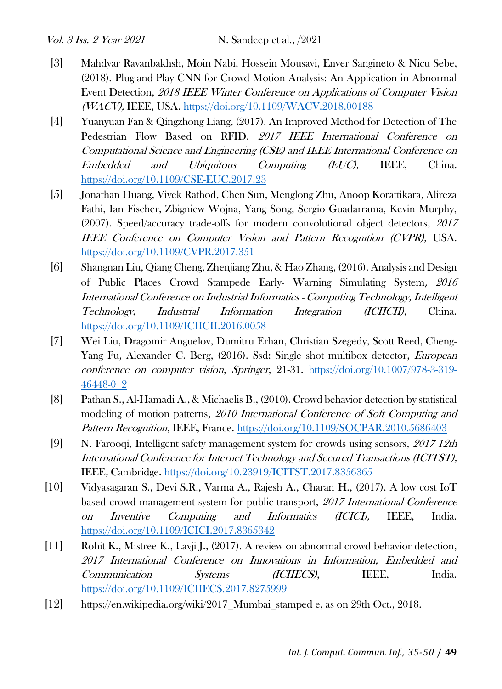- [3] Mahdyar Ravanbakhsh, Moin Nabi, Hossein Mousavi, Enver Sangineto & Nicu Sebe, (2018). Plug-and-Play CNN for Crowd Motion Analysis: An Application in Abnormal Event Detection, 2018 IEEE Winter Conference on Applications of Computer Vision (WACV), IEEE, USA. <https://doi.org/10.1109/WACV.2018.00188>
- [4] Yuanyuan Fan & Qingzhong Liang, (2017). An Improved Method for Detection of The Pedestrian Flow Based on RFID, 2017 IEEE International Conference on Computational Science and Engineering (CSE) and IEEE International Conference on Embedded and Ubiquitous Computing (EUC), IEEE, China. <https://doi.org/10.1109/CSE-EUC.2017.23>
- [5] Jonathan Huang, Vivek Rathod, Chen Sun, Menglong Zhu, Anoop Korattikara, Alireza Fathi, Ian Fischer, Zbigniew Wojna, Yang Song, Sergio Guadarrama, Kevin Murphy, (2007). Speed/accuracy trade-offs for modern convolutional object detectors, <sup>2017</sup> IEEE Conference on Computer Vision and Pattern Recognition (CVPR), USA. <https://doi.org/10.1109/CVPR.2017.351>
- [6] Shangnan Liu, Qiang Cheng, Zhenjiang Zhu, & Hao Zhang, (2016). Analysis and Design of Public Places Crowd Stampede Early- Warning Simulating System, <sup>2016</sup> International Conference on Industrial Informatics - Computing Technology, Intelligent Technology, Industrial Information Integration (ICIICII), China. <https://doi.org/10.1109/ICIICII.2016.0058>
- [7] Wei Liu, Dragomir Anguelov, Dumitru Erhan, Christian Szegedy, Scott Reed, Cheng-Yang Fu, Alexander C. Berg, (2016). Ssd: Single shot multibox detector, European conference on computer vision, Springer, 21-31. [https://doi.org/10.1007/978-3-319-](https://doi.org/10.1007/978-3-319-46448-0_2) [46448-0\\_2](https://doi.org/10.1007/978-3-319-46448-0_2)
- [8] Pathan S., Al-Hamadi A., & Michaelis B., (2010). Crowd behavior detection by statistical modeling of motion patterns, 2010 International Conference of Soft Computing and Pattern Recognition, IEEE, France.<https://doi.org/10.1109/SOCPAR.2010.5686403>
- [9] N. Farooqi, Intelligent safety management system for crowds using sensors, 2017 12th International Conference for Internet Technology and Secured Transactions (ICITST), IEEE, Cambridge.<https://doi.org/10.23919/ICITST.2017.8356365>
- [10] Vidyasagaran S., Devi S.R., Varma A., Rajesh A., Charan H., (2017). A low cost IoT based crowd management system for public transport, 2017 International Conference on Inventive Computing and Informatics (ICICI), IEEE, India. <https://doi.org/10.1109/ICICI.2017.8365342>
- [11] Rohit K., Mistree K., Lavji J., (2017). A review on abnormal crowd behavior detection, 2017 International Conference on Innovations in Information, Embedded and Communication Systems (ICIIECS), IEEE, India. <https://doi.org/10.1109/ICIIECS.2017.8275999>
- [12] https://en.wikipedia.org/wiki/2017\_Mumbai\_stamped e, as on 29th Oct., 2018.